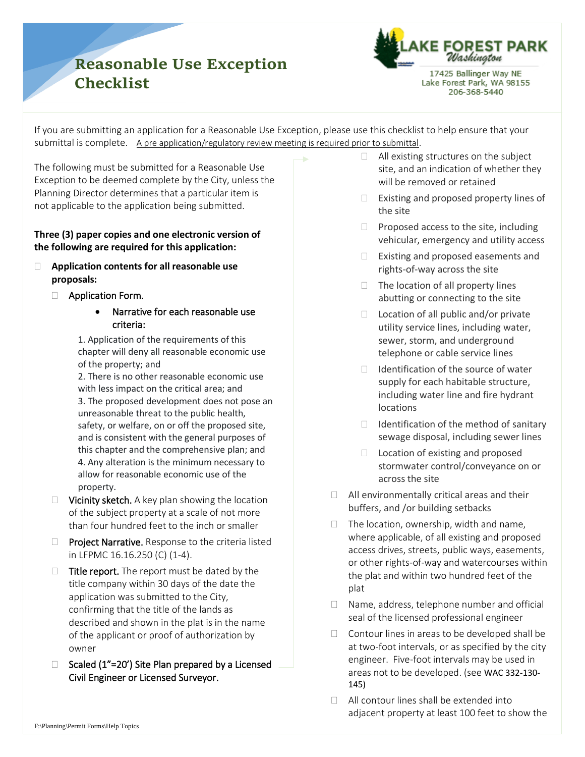## **Reasonable Use Exception Checklist**



17425 Ballinger Way NE Lake Forest Park, WA 98155 206-368-5440

If you are submitting an application for a Reasonable Use Exception, please use this checklist to help ensure that your submittal is complete. A pre application/regulatory review meeting is required prior to submittal.

The following must be submitted for a Reasonable Use Exception to be deemed complete by the City, unless the Planning Director determines that a particular item is not applicable to the application being submitted.

## **Three (3) paper copies and one electronic version of the following are required for this application:**

- **Application contents for all reasonable use proposals:**
	- □ Application Form.
		- Narrative for each reasonable use criteria:

1. Application of the requirements of this chapter will deny all reasonable economic use of the property; and

2. There is no other reasonable economic use with less impact on the critical area; and 3. The proposed development does not pose an unreasonable threat to the public health, safety, or welfare, on or off the proposed site, and is consistent with the general purposes of this chapter and the comprehensive plan; and 4. Any alteration is the minimum necessary to allow for reasonable economic use of the property.

- $\Box$  Vicinity sketch. A key plan showing the location of the subject property at a scale of not more than four hundred feet to the inch or smaller
- $\Box$  Project Narrative. Response to the criteria listed in LFPMC 16.16.250 (C) (1-4).
- $\Box$  Title report. The report must be dated by the title company within 30 days of the date the application was submitted to the City, confirming that the title of the lands as described and shown in the plat is in the name of the applicant or proof of authorization by owner
- $\Box$  Scaled (1"=20') Site Plan prepared by a Licensed Civil Engineer or Licensed Surveyor.
- $\Box$  All existing structures on the subject site, and an indication of whether they will be removed or retained
- $\Box$  Existing and proposed property lines of the site
- $\Box$  Proposed access to the site, including vehicular, emergency and utility access
- $\Box$  Existing and proposed easements and rights-of-way across the site
- $\Box$  The location of all property lines abutting or connecting to the site
- $\Box$  Location of all public and/or private utility service lines, including water, sewer, storm, and underground telephone or cable service lines
- $\Box$  Identification of the source of water supply for each habitable structure, including water line and fire hydrant locations
- $\Box$  Identification of the method of sanitary sewage disposal, including sewer lines
- $\Box$  Location of existing and proposed stormwater control/conveyance on or across the site
- $\Box$  All environmentally critical areas and their buffers, and /or building setbacks
- $\Box$  The location, ownership, width and name, where applicable, of all existing and proposed access drives, streets, public ways, easements, or other rights-of-way and watercourses within the plat and within two hundred feet of the plat
- □ Name, address, telephone number and official seal of the licensed professional engineer
- $\Box$  Contour lines in areas to be developed shall be at two-foot intervals, or as specified by the city engineer. Five-foot intervals may be used in areas not to be developed. (see WAC 332-130- 145)
- □ All contour lines shall be extended into adjacent property at least 100 feet to show the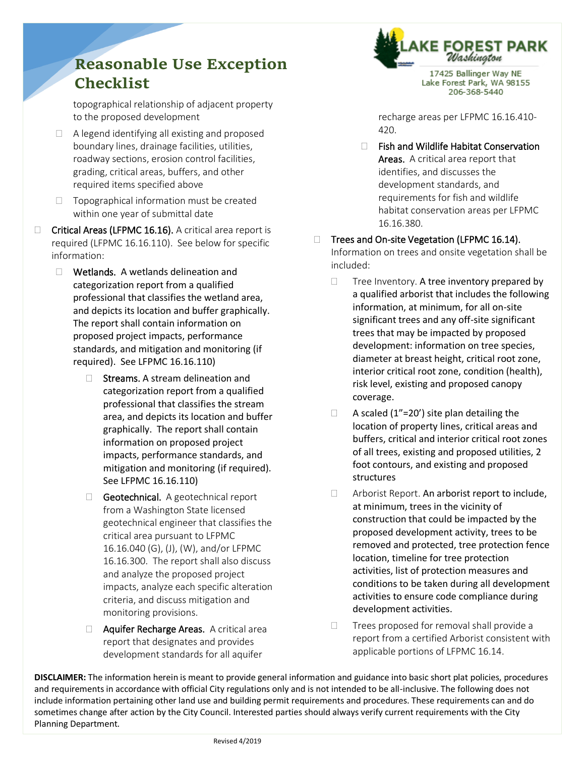## **Reasonable Use Exception Checklist**

topographical relationship of adjacent property to the proposed development

- $\Box$  A legend identifying all existing and proposed boundary lines, drainage facilities, utilities, roadway sections, erosion control facilities, grading, critical areas, buffers, and other required items specified above
- $\Box$  Topographical information must be created within one year of submittal date
- $\Box$  Critical Areas (LFPMC 16.16). A critical area report is required (LFPMC 16.16.110). See below for specific information:
	- □ Wetlands. A wetlands delineation and categorization report from a qualified professional that classifies the wetland area, and depicts its location and buffer graphically. The report shall contain information on proposed project impacts, performance standards, and mitigation and monitoring (if required). See LFPMC 16.16.110)
		- $\Box$  Streams. A stream delineation and categorization report from a qualified professional that classifies the stream area, and depicts its location and buffer graphically. The report shall contain information on proposed project impacts, performance standards, and mitigation and monitoring (if required). See LFPMC 16.16.110)
		- $\Box$  Geotechnical. A geotechnical report from a Washington State licensed geotechnical engineer that classifies the critical area pursuant to LFPMC 16.16.040 (G), (J), (W), and/or LFPMC 16.16.300. The report shall also discuss and analyze the proposed project impacts, analyze each specific alteration criteria, and discuss mitigation and monitoring provisions.
		- **Aquifer Recharge Areas.** A critical area report that designates and provides development standards for all aquifer



17425 Ballinger Way NE Lake Forest Park, WA 98155 206-368-5440

recharge areas per LFPMC 16.16.410- 420.

 $\Box$  Fish and Wildlife Habitat Conservation Areas. A critical area report that identifies, and discusses the development standards, and requirements for fish and wildlife habitat conservation areas per LFPMC 16.16.380.

□ Trees and On-site Vegetation (LFPMC 16.14). Information on trees and onsite vegetation shall be included:

- $\Box$  Tree Inventory. A tree inventory prepared by a qualified arborist that includes the following information, at minimum, for all on-site significant trees and any off-site significant trees that may be impacted by proposed development: information on tree species, diameter at breast height, critical root zone, interior critical root zone, condition (health), risk level, existing and proposed canopy coverage.
- $\Box$  A scaled (1"=20') site plan detailing the location of property lines, critical areas and buffers, critical and interior critical root zones of all trees, existing and proposed utilities, 2 foot contours, and existing and proposed structures
- □ Arborist Report. An arborist report to include, at minimum, trees in the vicinity of construction that could be impacted by the proposed development activity, trees to be removed and protected, tree protection fence location, timeline for tree protection activities, list of protection measures and conditions to be taken during all development activities to ensure code compliance during development activities.
- $\Box$  Trees proposed for removal shall provide a report from a certified Arborist consistent with applicable portions of LFPMC 16.14.

**DISCLAIMER:** The information herein is meant to provide general information and guidance into basic short plat policies, procedures and requirements in accordance with official City regulations only and is not intended to be all-inclusive. The following does not include information pertaining other land use and building permit requirements and procedures. These requirements can and do sometimes change after action by the City Council. Interested parties should always verify current requirements with the City Planning Department.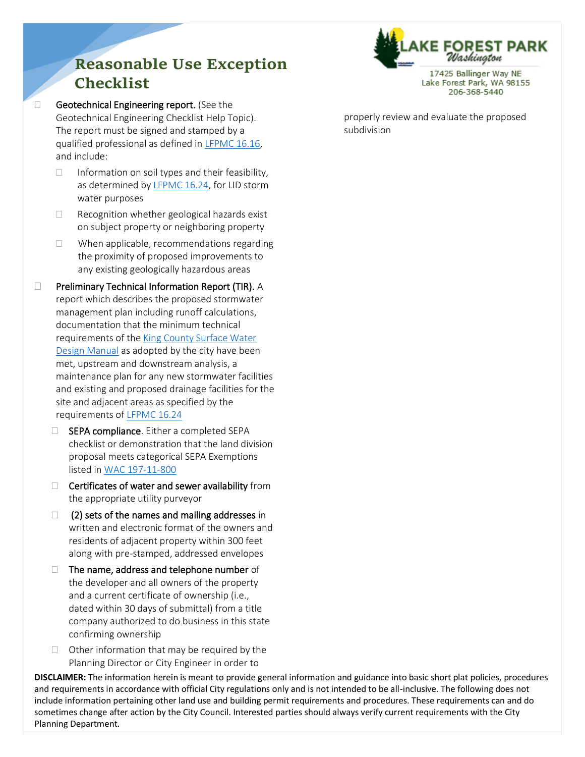## **Reasonable Use Exception Checklist**

Geotechnical Engineering report. (See the Geotechnical Engineering Checklist Help Topic). The report must be signed and stamped by a qualified professional as defined in [LFPMC 16.16,](http://www.codepublishing.com/WA/LakeForestPark/html/LakeForestPark16/LakeForestPark1616.html#16.16) and include:

- $\Box$  Information on soil types and their feasibility, as determined b[y LFPMC 16.24,](http://www.codepublishing.com/WA/LakeForestPark/html/LakeForestPark16/LakeForestPark1624.html#16.24) for LID storm water purposes
- $\Box$  Recognition whether geological hazards exist on subject property or neighboring property
- $\Box$  When applicable, recommendations regarding the proximity of proposed improvements to any existing geologically hazardous areas
- $\square$  Preliminary Technical Information Report (TIR). A report which describes the proposed stormwater management plan including runoff calculations, documentation that the minimum technical requirements of the [King County Surface Water](https://your.kingcounty.gov/dnrp/library/water-and-land/stormwater/surface-water-design-manual/SWDM%202016%20complete%20document%20FINAL%20first%20errata%206%2015%202016.pdf)  [Design Manual](https://your.kingcounty.gov/dnrp/library/water-and-land/stormwater/surface-water-design-manual/SWDM%202016%20complete%20document%20FINAL%20first%20errata%206%2015%202016.pdf) as adopted by the city have been met, upstream and downstream analysis, a maintenance plan for any new stormwater facilities and existing and proposed drainage facilities for the site and adjacent areas as specified by the requirements o[f LFPMC 16.24](http://www.codepublishing.com/WA/LakeForestPark/html/LakeForestPark16/LakeForestPark1624.html#16.24)
	- $\Box$  SEPA compliance. Either a completed SEPA checklist or demonstration that the land division proposal meets categorical SEPA Exemptions listed in [WAC 197-11-800](http://apps.leg.wa.gov/WAC/default.aspx?cite=197-11-800)
	- $\Box$  Certificates of water and sewer availability from the appropriate utility purveyor
	- $\Box$  (2) sets of the names and mailing addresses in written and electronic format of the owners and residents of adjacent property within 300 feet along with pre-stamped, addressed envelopes
	- $\Box$  The name, address and telephone number of the developer and all owners of the property and a current certificate of ownership (i.e., dated within 30 days of submittal) from a title company authorized to do business in this state confirming ownership
	- $\Box$  Other information that may be required by the Planning Director or City Engineer in order to

**DISCLAIMER:** The information herein is meant to provide general information and guidance into basic short plat policies, procedures and requirements in accordance with official City regulations only and is not intended to be all-inclusive. The following does not include information pertaining other land use and building permit requirements and procedures. These requirements can and do sometimes change after action by the City Council. Interested parties should always verify current requirements with the City Planning Department.

properly review and evaluate the proposed subdivision



17425 Ballinger Way NE Lake Forest Park, WA 98155 206-368-5440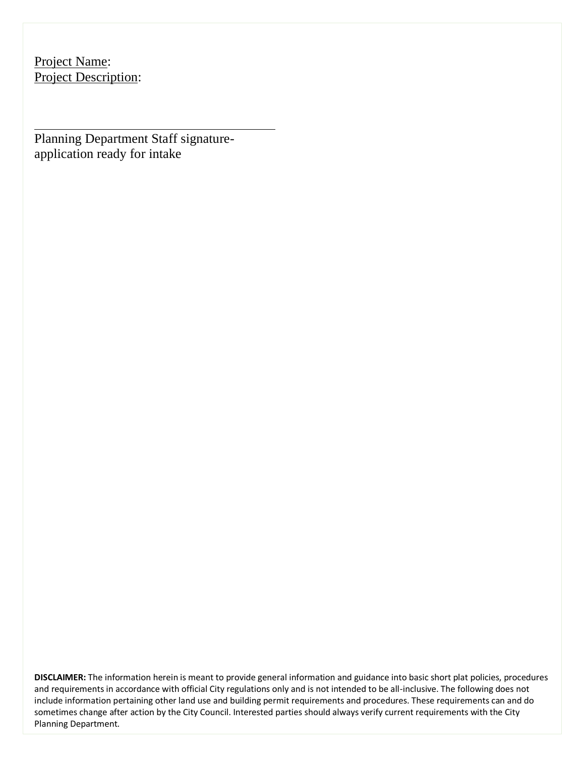Project Name: Project Description:

Planning Department Staff signatureapplication ready for intake

**DISCLAIMER:** The information herein is meant to provide general information and guidance into basic short plat policies, procedures and requirements in accordance with official City regulations only and is not intended to be all-inclusive. The following does not include information pertaining other land use and building permit requirements and procedures. These requirements can and do sometimes change after action by the City Council. Interested parties should always verify current requirements with the City Planning Department.